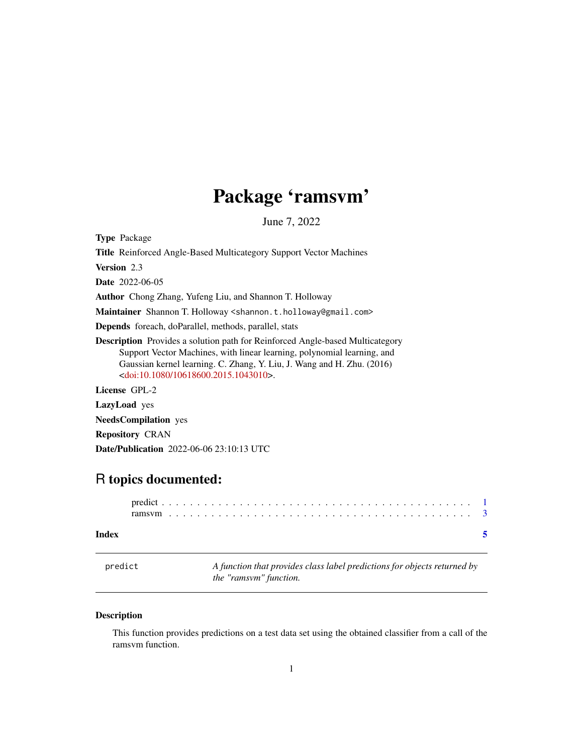## Package 'ramsvm'

June 7, 2022

<span id="page-0-0"></span>Type Package

Title Reinforced Angle-Based Multicategory Support Vector Machines

Version 2.3

Date 2022-06-05

Author Chong Zhang, Yufeng Liu, and Shannon T. Holloway

Maintainer Shannon T. Holloway <shannon.t.holloway@gmail.com>

Depends foreach, doParallel, methods, parallel, stats

Description Provides a solution path for Reinforced Angle-based Multicategory Support Vector Machines, with linear learning, polynomial learning, and Gaussian kernel learning. C. Zhang, Y. Liu, J. Wang and H. Zhu. (2016) [<doi:10.1080/10618600.2015.1043010>](https://doi.org/10.1080/10618600.2015.1043010).

License GPL-2

LazyLoad yes

NeedsCompilation yes

Repository CRAN

Date/Publication 2022-06-06 23:10:13 UTC

### R topics documented:

| Index |  |  |  |  |  |  |  |  |  |  |  |  |  |  |  |  |  |  |  |  |  |  |
|-------|--|--|--|--|--|--|--|--|--|--|--|--|--|--|--|--|--|--|--|--|--|--|

<span id="page-0-1"></span>predict *A function that provides class label predictions for objects returned by the "ramsvm" function.*

#### Description

This function provides predictions on a test data set using the obtained classifier from a call of the ramsvm function.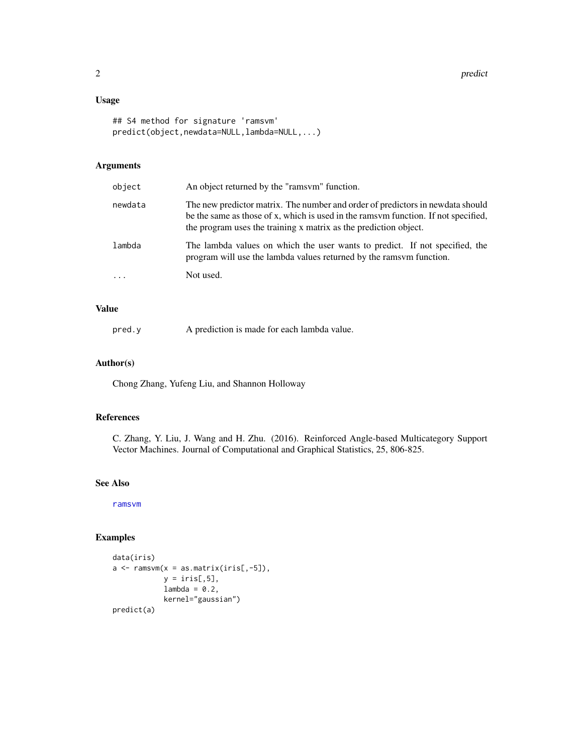#### <span id="page-1-0"></span>Usage

```
## S4 method for signature 'ramsvm'
predict(object,newdata=NULL,lambda=NULL,...)
```
#### Arguments

| object   | An object returned by the "ramsym" function.                                                                                                                                                                                             |
|----------|------------------------------------------------------------------------------------------------------------------------------------------------------------------------------------------------------------------------------------------|
| newdata  | The new predictor matrix. The number and order of predictors in newdata should<br>be the same as those of x, which is used in the ramsym function. If not specified,<br>the program uses the training x matrix as the prediction object. |
| lambda   | The lambda values on which the user wants to predict. If not specified, the<br>program will use the lambda values returned by the rams om function.                                                                                      |
| $\ddots$ | Not used.                                                                                                                                                                                                                                |

#### Value

pred.y A prediction is made for each lambda value.

#### Author(s)

Chong Zhang, Yufeng Liu, and Shannon Holloway

#### References

C. Zhang, Y. Liu, J. Wang and H. Zhu. (2016). Reinforced Angle-based Multicategory Support Vector Machines. Journal of Computational and Graphical Statistics, 25, 806-825.

#### See Also

[ramsvm](#page-2-1)

#### Examples

```
data(iris)
a \leq -r amsvm(x = as.matrix(ints[, -5]),y = \text{iris}[, 5],lambda = 0.2,
             kernel="gaussian")
predict(a)
```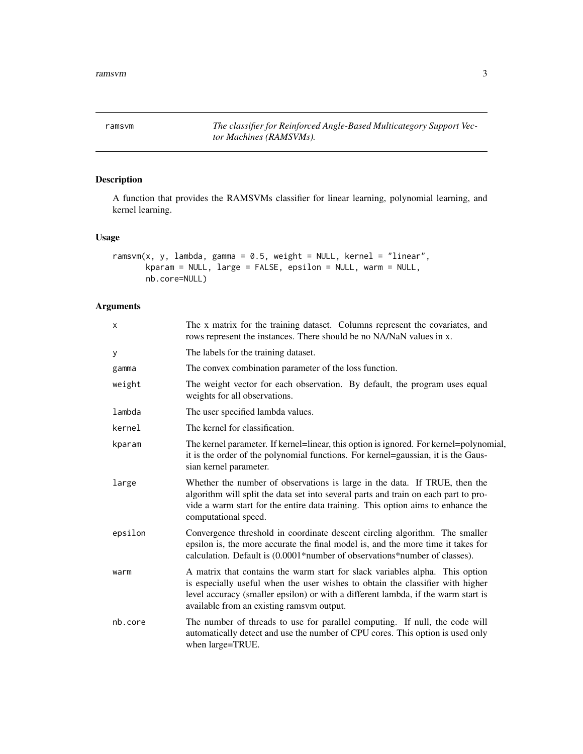<span id="page-2-1"></span><span id="page-2-0"></span>ramsvm *The classifier for Reinforced Angle-Based Multicategory Support Vector Machines (RAMSVMs).*

#### Description

A function that provides the RAMSVMs classifier for linear learning, polynomial learning, and kernel learning.

#### Usage

```
ramsvm(x, y, lambda, gamma = 0.5, weight = NULL, kernel = "linear",
       kparam = NULL, large = FALSE, epsilon = NULL, warm = NULL,
      nb.core=NULL)
```
#### Arguments

| X       | The x matrix for the training dataset. Columns represent the covariates, and<br>rows represent the instances. There should be no NA/NaN values in x.                                                                                                                                             |
|---------|--------------------------------------------------------------------------------------------------------------------------------------------------------------------------------------------------------------------------------------------------------------------------------------------------|
| У       | The labels for the training dataset.                                                                                                                                                                                                                                                             |
| gamma   | The convex combination parameter of the loss function.                                                                                                                                                                                                                                           |
| weight  | The weight vector for each observation. By default, the program uses equal<br>weights for all observations.                                                                                                                                                                                      |
| lambda  | The user specified lambda values.                                                                                                                                                                                                                                                                |
| kernel  | The kernel for classification.                                                                                                                                                                                                                                                                   |
| kparam  | The kernel parameter. If kernel=linear, this option is ignored. For kernel=polynomial,<br>it is the order of the polynomial functions. For kernel=gaussian, it is the Gaus-<br>sian kernel parameter.                                                                                            |
| large   | Whether the number of observations is large in the data. If TRUE, then the<br>algorithm will split the data set into several parts and train on each part to pro-<br>vide a warm start for the entire data training. This option aims to enhance the<br>computational speed.                     |
| epsilon | Convergence threshold in coordinate descent circling algorithm. The smaller<br>epsilon is, the more accurate the final model is, and the more time it takes for<br>calculation. Default is (0.0001*number of observations*number of classes).                                                    |
| warm    | A matrix that contains the warm start for slack variables alpha. This option<br>is especially useful when the user wishes to obtain the classifier with higher<br>level accuracy (smaller epsilon) or with a different lambda, if the warm start is<br>available from an existing ramsvm output. |
| nb.core | The number of threads to use for parallel computing. If null, the code will<br>automatically detect and use the number of CPU cores. This option is used only<br>when large=TRUE.                                                                                                                |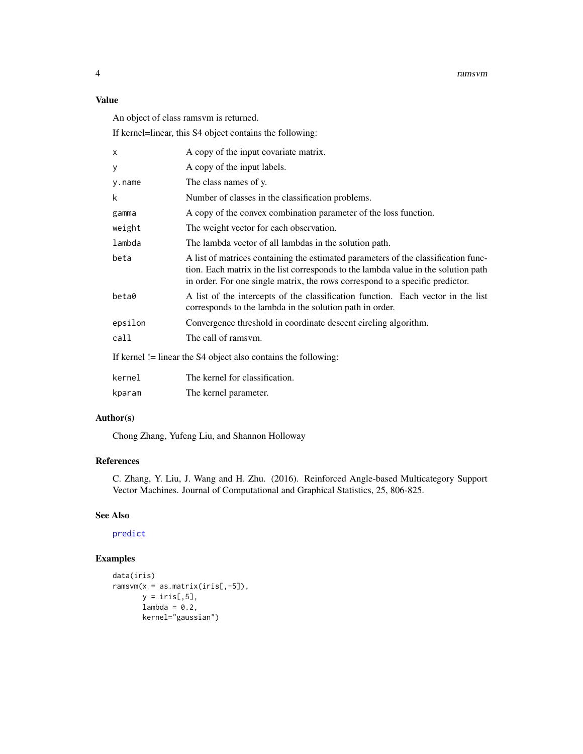#### <span id="page-3-0"></span>Value

An object of class ramsvm is returned.

If kernel=linear, this S4 object contains the following:

| x       | A copy of the input covariate matrix.                                                                                                                                                                                                                     |
|---------|-----------------------------------------------------------------------------------------------------------------------------------------------------------------------------------------------------------------------------------------------------------|
| У       | A copy of the input labels.                                                                                                                                                                                                                               |
| y.name  | The class names of y.                                                                                                                                                                                                                                     |
| k       | Number of classes in the classification problems.                                                                                                                                                                                                         |
| gamma   | A copy of the convex combination parameter of the loss function.                                                                                                                                                                                          |
| weight  | The weight vector for each observation.                                                                                                                                                                                                                   |
| lambda  | The lambda vector of all lambdas in the solution path.                                                                                                                                                                                                    |
| beta    | A list of matrices containing the estimated parameters of the classification func-<br>tion. Each matrix in the list corresponds to the lambda value in the solution path<br>in order. For one single matrix, the rows correspond to a specific predictor. |
| beta0   | A list of the intercepts of the classification function. Each vector in the list<br>corresponds to the lambda in the solution path in order.                                                                                                              |
| epsilon | Convergence threshold in coordinate descent circling algorithm.                                                                                                                                                                                           |
| call    | The call of ramsvm.                                                                                                                                                                                                                                       |
|         | If kernel $!=$ linear the S4 object also contains the following:                                                                                                                                                                                          |
| kernel  | The kernel for classification.                                                                                                                                                                                                                            |
| kparam  | The kernel parameter.                                                                                                                                                                                                                                     |
|         |                                                                                                                                                                                                                                                           |

#### Author(s)

Chong Zhang, Yufeng Liu, and Shannon Holloway

#### References

C. Zhang, Y. Liu, J. Wang and H. Zhu. (2016). Reinforced Angle-based Multicategory Support Vector Machines. Journal of Computational and Graphical Statistics, 25, 806-825.

#### See Also

[predict](#page-0-1)

#### Examples

```
data(iris)
ramsvm(x = as.matrix(iris[, -5]),y = \text{iris}[, 5],lambda = 0.2,
       kernel="gaussian")
```